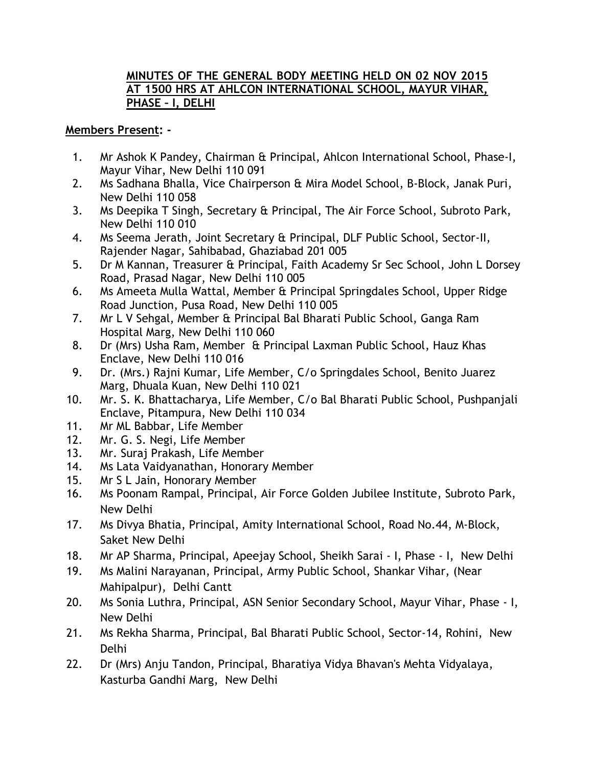## **MINUTES OF THE GENERAL BODY MEETING HELD ON 02 NOV 2015 AT 1500 HRS AT AHLCON INTERNATIONAL SCHOOL, MAYUR VIHAR, PHASE – I, DELHI**

## **Members Present: -**

- 1. Mr Ashok K Pandey, Chairman & Principal, Ahlcon International School, Phase-I, Mayur Vihar, New Delhi 110 091
- 2. Ms Sadhana Bhalla, Vice Chairperson & Mira Model School, B-Block, Janak Puri, New Delhi 110 058
- 3. Ms Deepika T Singh, Secretary & Principal, The Air Force School, Subroto Park, New Delhi 110 010
- 4. Ms Seema Jerath, Joint Secretary & Principal, DLF Public School, Sector-II, Rajender Nagar, Sahibabad, Ghaziabad 201 005
- 5. Dr M Kannan, Treasurer & Principal, Faith Academy Sr Sec School, John L Dorsey Road, Prasad Nagar, New Delhi 110 005
- 6. Ms Ameeta Mulla Wattal, Member & Principal Springdales School, Upper Ridge Road Junction, Pusa Road, New Delhi 110 005
- 7. Mr L V Sehgal, Member & Principal Bal Bharati Public School, Ganga Ram Hospital Marg, New Delhi 110 060
- 8. Dr (Mrs) Usha Ram, Member & Principal Laxman Public School, Hauz Khas Enclave, New Delhi 110 016
- 9. Dr. (Mrs.) Rajni Kumar, Life Member, C/o Springdales School, Benito Juarez Marg, Dhuala Kuan, New Delhi 110 021
- 10. Mr. S. K. Bhattacharya, Life Member, C/o Bal Bharati Public School, Pushpanjali Enclave, Pitampura, New Delhi 110 034
- 11. Mr ML Babbar, Life Member
- 12. Mr. G. S. Negi, Life Member
- 13. Mr. Suraj Prakash, Life Member
- 14. Ms Lata Vaidyanathan, Honorary Member
- 15. Mr S L Jain, Honorary Member
- 16. Ms Poonam Rampal, Principal, Air Force Golden Jubilee Institute, Subroto Park, New Delhi
- 17. Ms Divya Bhatia, Principal, Amity International School, Road No.44, M-Block, Saket New Delhi
- 18. Mr AP Sharma, Principal, Apeejay School, Sheikh Sarai I, Phase I, New Delhi
- 19. Ms Malini Narayanan, Principal, Army Public School, Shankar Vihar, (Near Mahipalpur), Delhi Cantt
- 20. Ms Sonia Luthra, Principal, ASN Senior Secondary School, Mayur Vihar, Phase I, New Delhi
- 21. Ms Rekha Sharma, Principal, Bal Bharati Public School, Sector-14, Rohini, New Delhi
- 22. Dr (Mrs) Anju Tandon, Principal, Bharatiya Vidya Bhavan's Mehta Vidyalaya, Kasturba Gandhi Marg, New Delhi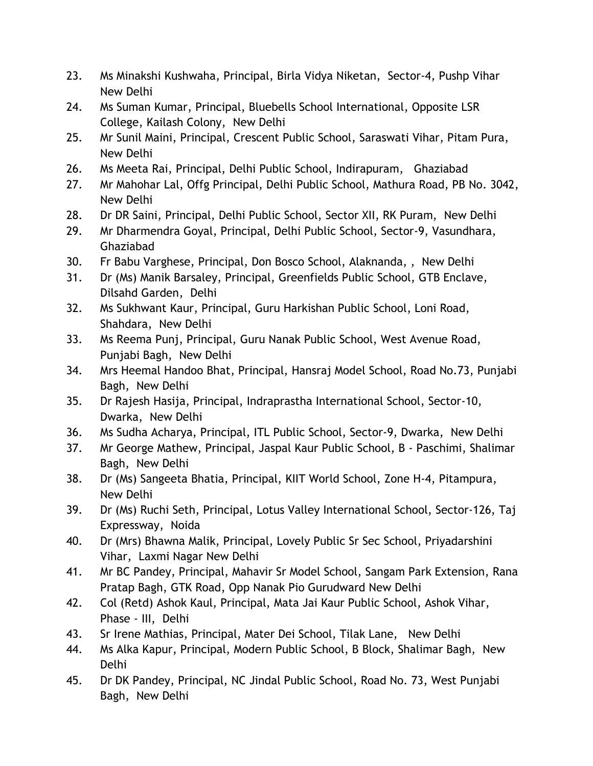- 23. Ms Minakshi Kushwaha, Principal, Birla Vidya Niketan, Sector-4, Pushp Vihar New Delhi
- 24. Ms Suman Kumar, Principal, Bluebells School International, Opposite LSR College, Kailash Colony, New Delhi
- 25. Mr Sunil Maini, Principal, Crescent Public School, Saraswati Vihar, Pitam Pura, New Delhi
- 26. Ms Meeta Rai, Principal, Delhi Public School, Indirapuram, Ghaziabad
- 27. Mr Mahohar Lal, Offg Principal, Delhi Public School, Mathura Road, PB No. 3042, New Delhi
- 28. Dr DR Saini, Principal, Delhi Public School, Sector XII, RK Puram, New Delhi
- 29. Mr Dharmendra Goyal, Principal, Delhi Public School, Sector-9, Vasundhara, Ghaziabad
- 30. Fr Babu Varghese, Principal, Don Bosco School, Alaknanda, , New Delhi
- 31. Dr (Ms) Manik Barsaley, Principal, Greenfields Public School, GTB Enclave, Dilsahd Garden, Delhi
- 32. Ms Sukhwant Kaur, Principal, Guru Harkishan Public School, Loni Road, Shahdara, New Delhi
- 33. Ms Reema Punj, Principal, Guru Nanak Public School, West Avenue Road, Punjabi Bagh, New Delhi
- 34. Mrs Heemal Handoo Bhat, Principal, Hansraj Model School, Road No.73, Punjabi Bagh, New Delhi
- 35. Dr Rajesh Hasija, Principal, Indraprastha International School, Sector-10, Dwarka, New Delhi
- 36. Ms Sudha Acharya, Principal, ITL Public School, Sector-9, Dwarka, New Delhi
- 37. Mr George Mathew, Principal, Jaspal Kaur Public School, B Paschimi, Shalimar Bagh, New Delhi
- 38. Dr (Ms) Sangeeta Bhatia, Principal, KIIT World School, Zone H-4, Pitampura, New Delhi
- 39. Dr (Ms) Ruchi Seth, Principal, Lotus Valley International School, Sector-126, Taj Expressway, Noida
- 40. Dr (Mrs) Bhawna Malik, Principal, Lovely Public Sr Sec School, Priyadarshini Vihar, Laxmi Nagar New Delhi
- 41. Mr BC Pandey, Principal, Mahavir Sr Model School, Sangam Park Extension, Rana Pratap Bagh, GTK Road, Opp Nanak Pio Gurudward New Delhi
- 42. Col (Retd) Ashok Kaul, Principal, Mata Jai Kaur Public School, Ashok Vihar, Phase - III, Delhi
- 43. Sr Irene Mathias, Principal, Mater Dei School, Tilak Lane, New Delhi
- 44. Ms Alka Kapur, Principal, Modern Public School, B Block, Shalimar Bagh, New Delhi
- 45. Dr DK Pandey, Principal, NC Jindal Public School, Road No. 73, West Punjabi Bagh, New Delhi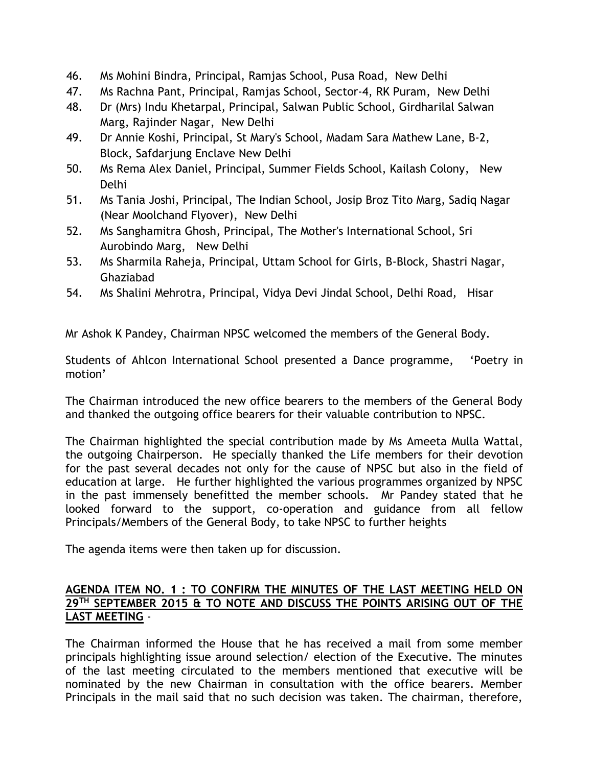- 46. Ms Mohini Bindra, Principal, Ramjas School, Pusa Road, New Delhi
- 47. Ms Rachna Pant, Principal, Ramjas School, Sector-4, RK Puram, New Delhi
- 48. Dr (Mrs) Indu Khetarpal, Principal, Salwan Public School, Girdharilal Salwan Marg, Rajinder Nagar, New Delhi
- 49. Dr Annie Koshi, Principal, St Mary's School, Madam Sara Mathew Lane, B-2, Block, Safdarjung Enclave New Delhi
- 50. Ms Rema Alex Daniel, Principal, Summer Fields School, Kailash Colony, New Delhi
- 51. Ms Tania Joshi, Principal, The Indian School, Josip Broz Tito Marg, Sadiq Nagar (Near Moolchand Flyover), New Delhi
- 52. Ms Sanghamitra Ghosh, Principal, The Mother's International School, Sri Aurobindo Marg, New Delhi
- 53. Ms Sharmila Raheja, Principal, Uttam School for Girls, B-Block, Shastri Nagar, Ghaziabad
- 54. Ms Shalini Mehrotra, Principal, Vidya Devi Jindal School, Delhi Road, Hisar

Mr Ashok K Pandey, Chairman NPSC welcomed the members of the General Body.

Students of Ahlcon International School presented a Dance programme, 'Poetry in motion'

The Chairman introduced the new office bearers to the members of the General Body and thanked the outgoing office bearers for their valuable contribution to NPSC.

The Chairman highlighted the special contribution made by Ms Ameeta Mulla Wattal, the outgoing Chairperson. He specially thanked the Life members for their devotion for the past several decades not only for the cause of NPSC but also in the field of education at large. He further highlighted the various programmes organized by NPSC in the past immensely benefitted the member schools. Mr Pandey stated that he looked forward to the support, co-operation and guidance from all fellow Principals/Members of the General Body, to take NPSC to further heights

The agenda items were then taken up for discussion.

## **AGENDA ITEM NO. 1 : TO CONFIRM THE MINUTES OF THE LAST MEETING HELD ON 29TH SEPTEMBER 2015 & TO NOTE AND DISCUSS THE POINTS ARISING OUT OF THE LAST MEETING** -

The Chairman informed the House that he has received a mail from some member principals highlighting issue around selection/ election of the Executive. The minutes of the last meeting circulated to the members mentioned that executive will be nominated by the new Chairman in consultation with the office bearers. Member Principals in the mail said that no such decision was taken. The chairman, therefore,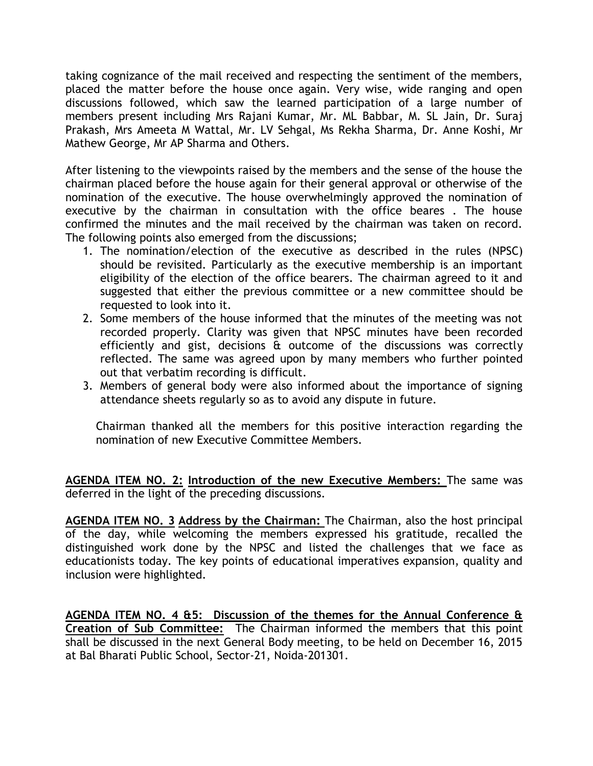taking cognizance of the mail received and respecting the sentiment of the members, placed the matter before the house once again. Very wise, wide ranging and open discussions followed, which saw the learned participation of a large number of members present including Mrs Rajani Kumar, Mr. ML Babbar, M. SL Jain, Dr. Suraj Prakash, Mrs Ameeta M Wattal, Mr. LV Sehgal, Ms Rekha Sharma, Dr. Anne Koshi, Mr Mathew George, Mr AP Sharma and Others.

After listening to the viewpoints raised by the members and the sense of the house the chairman placed before the house again for their general approval or otherwise of the nomination of the executive. The house overwhelmingly approved the nomination of executive by the chairman in consultation with the office beares . The house confirmed the minutes and the mail received by the chairman was taken on record. The following points also emerged from the discussions;

- 1. The nomination/election of the executive as described in the rules (NPSC) should be revisited. Particularly as the executive membership is an important eligibility of the election of the office bearers. The chairman agreed to it and suggested that either the previous committee or a new committee should be requested to look into it.
- 2. Some members of the house informed that the minutes of the meeting was not recorded properly. Clarity was given that NPSC minutes have been recorded efficiently and gist, decisions & outcome of the discussions was correctly reflected. The same was agreed upon by many members who further pointed out that verbatim recording is difficult.
- 3. Members of general body were also informed about the importance of signing attendance sheets regularly so as to avoid any dispute in future.

Chairman thanked all the members for this positive interaction regarding the nomination of new Executive Committee Members.

**AGENDA ITEM NO. 2: Introduction of the new Executive Members:** The same was deferred in the light of the preceding discussions.

**AGENDA ITEM NO. 3 Address by the Chairman:** The Chairman, also the host principal of the day, while welcoming the members expressed his gratitude, recalled the distinguished work done by the NPSC and listed the challenges that we face as educationists today. The key points of educational imperatives expansion, quality and inclusion were highlighted.

**AGENDA ITEM NO. 4 &5: Discussion of the themes for the Annual Conference & Creation of Sub Committee:** The Chairman informed the members that this point shall be discussed in the next General Body meeting, to be held on December 16, 2015 at Bal Bharati Public School, Sector-21, Noida-201301.